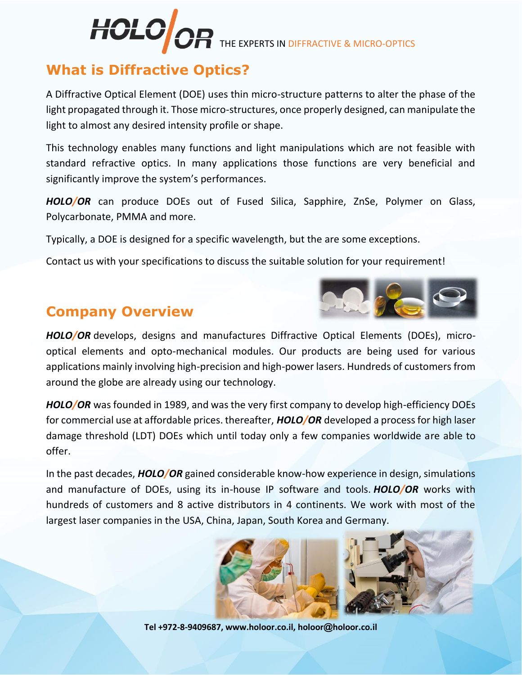# **HOLO OR THE EXPERTS IN DIFFRACTIVE & MICRO-OPTICS**

# **What is Diffractive Optics?**

A Diffractive Optical Element (DOE) uses thin micro-structure patterns to alter the phase of the light propagated through it. Those micro-structures, once properly designed, can manipulate the light to almost any desired intensity profile or shape.

This technology enables many functions and light manipulations which are not feasible with standard refractive optics. In many applications those functions are very beneficial and significantly improve the system's performances.

*HOLO/OR* can produce DOEs out of Fused Silica, Sapphire, ZnSe, Polymer on Glass, Polycarbonate, PMMA and more.

Typically, a DOE is designed for a specific wavelength, but the are some exceptions.

Contact us with your specifications to discuss the suitable solution for your requirement!

# **Company Overview**



*HOLO/OR* develops, designs and manufactures Diffractive Optical Elements (DOEs), microoptical elements and opto-mechanical modules. Our products are being used for various applications mainly involving high-precision and high-power lasers. Hundreds of customers from around the globe are already using our technology.

*HOLO/OR* was founded in 1989, and was the very first company to develop high-efficiency DOEs for commercial use at affordable prices. thereafter, *HOLO/OR* developed a process for high laser damage threshold (LDT) DOEs which until today only a few companies worldwide are able to offer.

In the past decades, *HOLO/OR* gained considerable know-how experience in design, simulations and manufacture of DOEs, using its in-house IP software and tools. *HOLO/OR* works with hundreds of customers and 8 active distributors in 4 continents. We work with most of the largest laser companies in the USA, China, Japan, South Korea and Germany.



**Tel +972-8-9409687, www.holoor.co.il, holoor@holoor.co.il**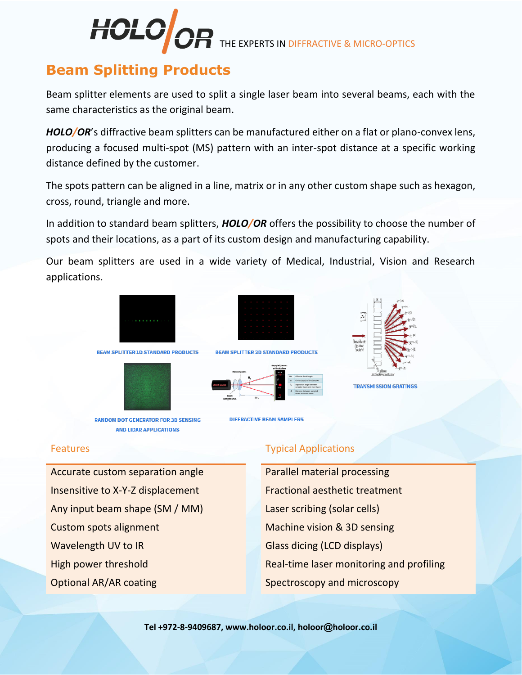

THE EXPERTS IN DIFFRACTIVE & MICRO-OPTICS

# **Beam Splitting Products**

Beam splitter elements are used to split a single laser beam into several beams, each with the same characteristics as the original beam.

*HOLO/OR*'s diffractive beam splitters can be manufactured either on a flat or plano-convex lens, producing a focused multi-spot (MS) pattern with an inter-spot distance at a specific working distance defined by the customer.

The spots pattern can be aligned in a line, matrix or in any other custom shape such as hexagon, cross, round, triangle and more.

In addition to standard beam splitters, *HOLO/OR* offers the possibility to choose the number of spots and their locations, as a part of its custom design and manufacturing capability.

Our beam splitters are used in a wide variety of Medical, Industrial, Vision and Research applications.



Accurate custom separation angle **Parallel material processing** Insensitive to X-Y-Z displacement **Fractional aesthetic treatment** Any input beam shape (SM / MM) Laser scribing (solar cells) Custom spots alignment Machine vision & 3D sensing Wavelength UV to IR Glass dicing (LCD displays)

#### Features Typical Applications

High power threshold **Real-time laser monitoring and profiling** Optional AR/AR coating Spectroscopy and microscopy

**Tel +972-8-9409687, www.holoor.co.il, holoor@holoor.co.il**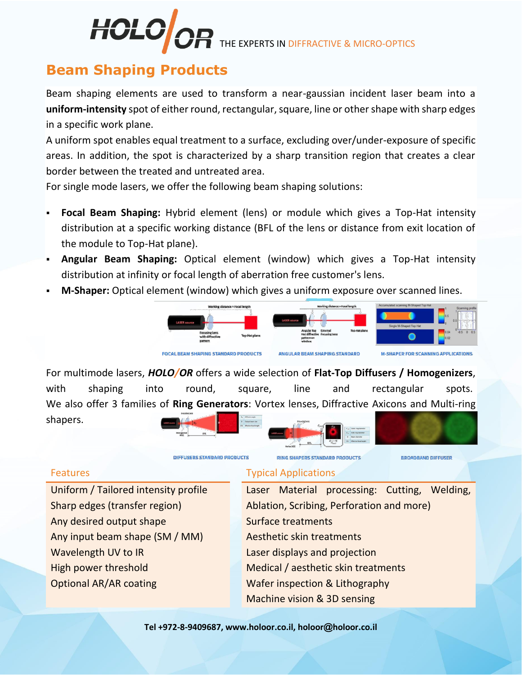# *IOLO* THE EXPERTS IN DIFFRACTIVE & MICRO-OPTICS

# **Beam Shaping Products**

Beam shaping elements are used to transform a near-gaussian incident laser beam into a **uniform-intensity** spot of either round, rectangular, square, line or other shape with sharp edges in a specific work plane.

A uniform spot enables equal treatment to a surface, excluding over/under-exposure of specific areas. In addition, the spot is characterized by a sharp transition region that creates a clear border between the treated and untreated area.

For single mode lasers, we offer the following beam shaping solutions:

DIFFUSERS STANDARD PRODUCTS

- Focal Beam Shaping: Hybrid element (lens) or module which gives a Top-Hat intensity distribution at a specific working distance (BFL of the lens or distance from exit location of the module to Top-Hat plane).
- **Angular Beam Shaping:** Optical element (window) which gives a Top-Hat intensity distribution at infinity or focal length of aberration free customer's lens.
- **M-Shaper:** Optical element (window) which gives a uniform exposure over scanned lines.



**RING SHAPERS STANDARD PRODUCTS** 

For multimode lasers, *HOLO/OR* offers a wide selection of **Flat-Top Diffusers / Homogenizers**, with shaping into round, square, line and rectangular spots. We also offer 3 families of **Ring Generators**: Vortex lenses, Diffractive Axicons and Multi-ring shapers.





Any desired output shape Surface treatments Any input beam shape (SM / MM) Aesthetic skin treatments Wavelength UV to IR **Example 20 In Laser displays and projection** Optional AR/AR coating Wafer inspection & Lithography

## Features Typical Applications

Uniform / Tailored intensity profile Laser Material processing: Cutting, Welding, Sharp edges (transfer region) Ablation, Scribing, Perforation and more) High power threshold Medical / aesthetic skin treatments Machine vision & 3D sensing

**Tel +972-8-9409687, www.holoor.co.il, holoor@holoor.co.il**